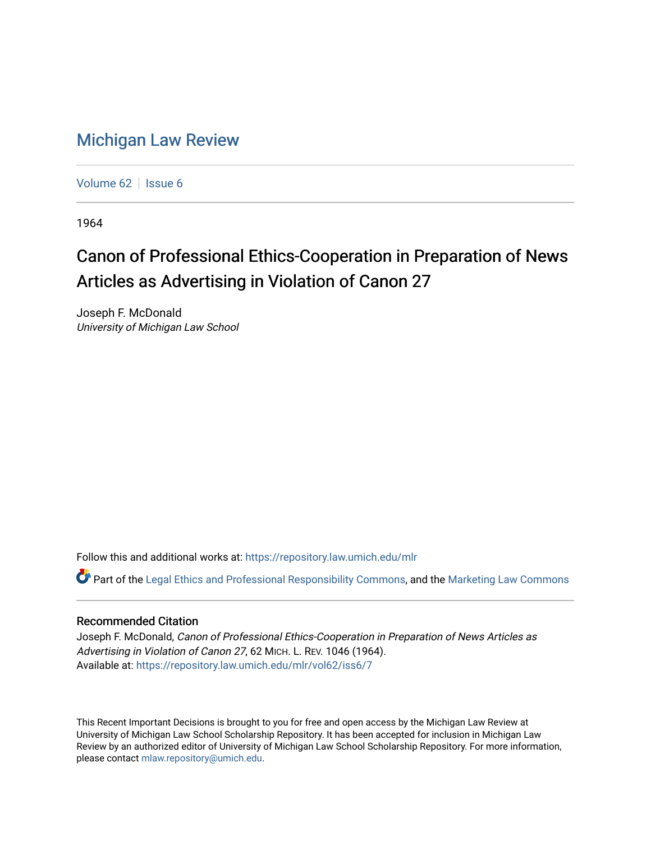## [Michigan Law Review](https://repository.law.umich.edu/mlr)

[Volume 62](https://repository.law.umich.edu/mlr/vol62) | [Issue 6](https://repository.law.umich.edu/mlr/vol62/iss6)

1964

## Canon of Professional Ethics-Cooperation in Preparation of News Articles as Advertising in Violation of Canon 27

Joseph F. McDonald University of Michigan Law School

Follow this and additional works at: [https://repository.law.umich.edu/mlr](https://repository.law.umich.edu/mlr?utm_source=repository.law.umich.edu%2Fmlr%2Fvol62%2Fiss6%2F7&utm_medium=PDF&utm_campaign=PDFCoverPages) 

Part of the [Legal Ethics and Professional Responsibility Commons](http://network.bepress.com/hgg/discipline/895?utm_source=repository.law.umich.edu%2Fmlr%2Fvol62%2Fiss6%2F7&utm_medium=PDF&utm_campaign=PDFCoverPages), and the [Marketing Law Commons](http://network.bepress.com/hgg/discipline/1045?utm_source=repository.law.umich.edu%2Fmlr%2Fvol62%2Fiss6%2F7&utm_medium=PDF&utm_campaign=PDFCoverPages) 

## Recommended Citation

Joseph F. McDonald, Canon of Professional Ethics-Cooperation in Preparation of News Articles as Advertising in Violation of Canon 27, 62 MICH. L. REV. 1046 (1964). Available at: [https://repository.law.umich.edu/mlr/vol62/iss6/7](https://repository.law.umich.edu/mlr/vol62/iss6/7?utm_source=repository.law.umich.edu%2Fmlr%2Fvol62%2Fiss6%2F7&utm_medium=PDF&utm_campaign=PDFCoverPages)

This Recent Important Decisions is brought to you for free and open access by the Michigan Law Review at University of Michigan Law School Scholarship Repository. It has been accepted for inclusion in Michigan Law Review by an authorized editor of University of Michigan Law School Scholarship Repository. For more information, please contact [mlaw.repository@umich.edu.](mailto:mlaw.repository@umich.edu)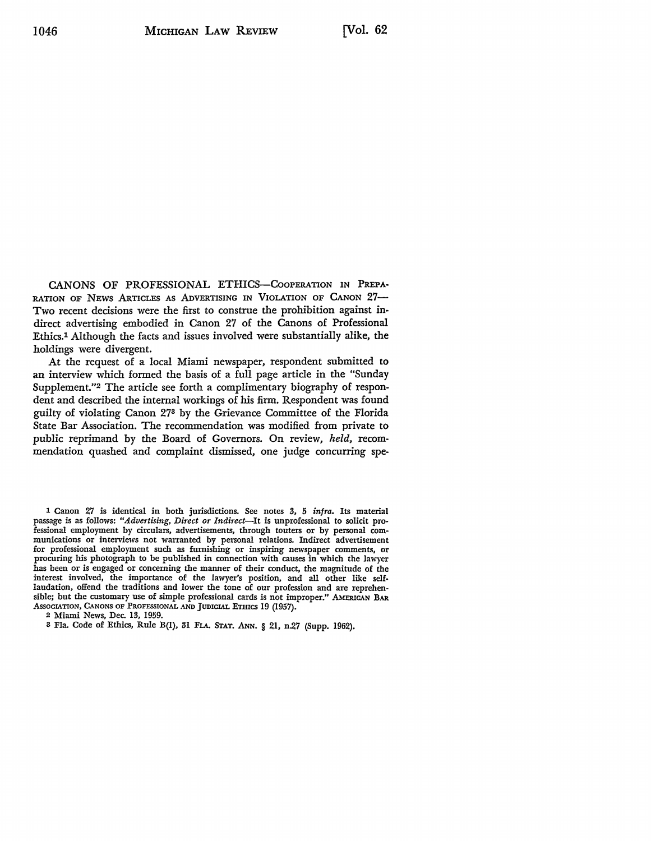CANONS OF PROFESSIONAL ETHICS-CooPERATION IN PREPA• RATION OF NEWS ARTICLES AS ADVERTISING IN VIOLATION OF CANON 27-Two recent decisions were the first to construe the prohibition against indirect advertising embodied in Canon 27 of the Canons of Professional Ethics.1 Although the facts and issues involved were substantially **alike, the**  holdings were divergent.

At the request of a local Miami newspaper, respondent submitted to an interview which formed the basis of a full page article in the "Sunday Supplement."2 The article see forth a complimentary biography **of respon**dent and described the internal workings of his firm. Respondent was found guilty of violating Canon 273 by the Grievance Committee of the Florida State Bar Association. The recommendation was modified from private to public reprimand by the Board of Governors. On review, *held,* recommendation quashed and complaint dismissed, one judge concurring spe-

1 Canon 27 is identical in both jurisdictions. See notes 3, 5 *infra.* Its material passage is as follows: *"Advertising, Direct or Indirect-It* is unprofessional to solicit professional employment by circulars, advertisements, through touters or by personal communications or interviews not warranted by personal relations. Indirect advertisement procuring his photograph to be published in connection with causes in which the lawyer has been or is engaged or concerning the manner of their conduct, the magnitude of the interest involved, the importance of the lawyer's position, and all other like selflaudation, offend the traditions and lower the tone of our profession and are reprehensible; but the customary use of simple professional cards is not improper." AMERICAN BAR Association, Canons of Professional and Judicial Ethics 19 (1957).

2 Miami News, Dec. 13, 1959.

3 Fla. Code of Ethics, Rule B(l), 31 FLA. STAT. ANN. § 21, n-27 (Supp. 1962).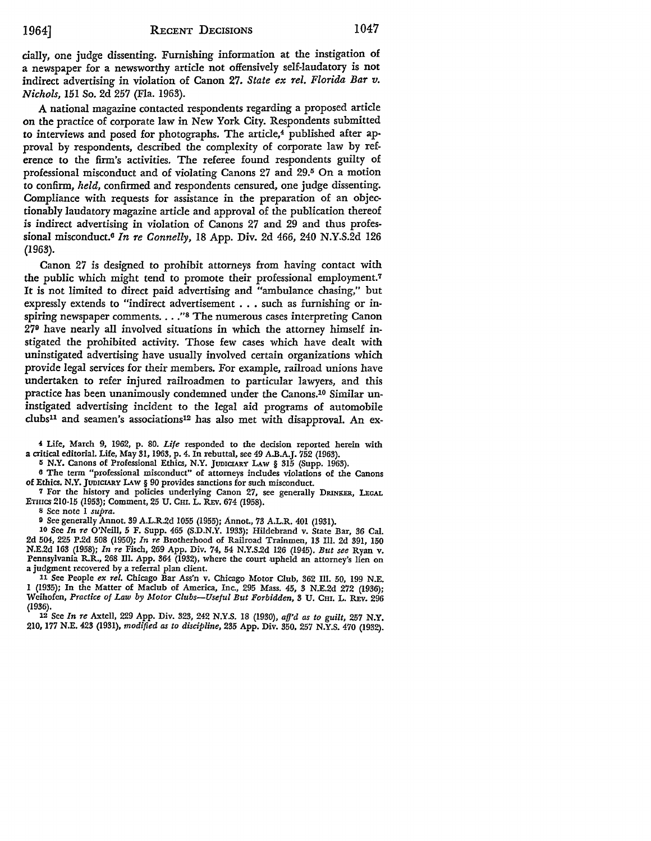cially, one judge dissenting. Furnishing information at the instigation of a newspaper for a newsworthy article not offensively self-laudatory is not indirect advertising in violation of Canon 27. *State ex rel. Florida Bar v. Nichols,* 151 So. 2d 257 (Fla. 1963).

A national magazine contacted respondents regarding a proposed article on the practice of corporate law in New York City. Respondents submitted to interviews and posed for photographs. The article,<sup>4</sup> published after approval by respondents, described the complexity of corporate law by reference to the firm's activities. The referee found respondents guilty of professional misconduct and of violating Canons 27 and 29.5 On a motion to confirm, *held,* confirmed and respondents censured, one judge dissenting. Compliance with requests for assistance in the preparation of an objectionably laudatory magazine article and approval of the publication thereof is indirect advertising in violation of Canons 27 and 29 and thus professional misconduct.6 *In Te Connelly,* 18 App. Div. 2d 466, 240 N.Y.S.2d 126 (1963).

Canon 27 is designed to prohibit attorneys from having contact with the public which might tend to promote their professional employment.7 It is not limited to direct paid advertising and "ambulance chasing," but expressly extends to "indirect advertisement . . . such as furnishing or inspiring newspaper comments.  $\ldots$  <sup>28</sup> The numerous cases interpreting Canon 27° have nearly all involved situations in which the attorney himself instigated the prohibited activity. Those few cases which have dealt with uninstigated advertising have usually involved certain organizations which provide legal services for their members. For example, railroad unions have undertaken to refer injured railroadmen to particular lawyers, and this practice has been unanimously condemned under the Canons.10 Similar uninstigated advertising incident to the legal aid programs of automobile clubs11 and seamen's associations12 has also met with disapproval. An ex-

**4** Life, March 9, 1962, p. 80. *Life* responded to the decision reported herein with a critical editorial. Life, May 31, 1963, p. 4. In rebuttal, see 49 A.B.A.J. 752 (1963).

**r; N.Y.** Canons of Professional Ethics, N.Y. JUDICIARY LAW § 315 (Supp. 1963).

<sup>6</sup>The term "professional misconduct" of attorneys includes violations of the Canons of Ethics. N.Y. JUDICIARY LAw § 90 provides sanctions for such misconduct.

7 For the history and policies underlying Canon 27, see generally DRINKER, LEGAL ETHICS 210-15 (1953); Comment, 25 u. Cm. L. REv. 674 (1958).

8 See note 1 *supra.* 

o See generally Annot. 39 A.L.R.2d 1055 (1955); Annot., 73 A.L.R. 401 (1931).

10 See *In re* O'Neill, 5 F. Supp. 465 (S.D.N.Y. 1933); Hildebrand v. State Bar, 36 Cal. 2d 504, 225 P.2d 508 (1950); *In re* Brotherhood of Railroad Trainmen, 13 Ill. 2d 391, 150 N.E.2d 163 (1958); *In re Fisch, 269 App. Div. 74, 54 N.Y.S.2d 126 (1945). But see Ryan v.* Pennsylvania R.R., 268 Ill. App. 364 (1932), where the court upheld an attorney's lien on a judgment recovered by a referral plan client.

11 See People *ex rel.* Chicago Bar Ass'n v. Chicago Motor Club, 362 Ill. 50, 199 N.E. 1 (1935); In the Matter of Maclub of America, Inc., 295 Mass. 45, 3 N.E.2d 272 (1936); Weihofen, *Practice of Law by Motor Clubs-Useful But Forbidden,* 3 U. Cm. L. REv. 296 (1936).

12 See *In re* Axtell, 229 App. Div. 323, 242 N.Y.S. 18 (1930), *afj'd as to guilt,* 257 N.Y. 210, 177 N.E. 423 (1931), *modified as to discipline,* 235 App. Div. 350, 257 N.Y.S. 470 (1932).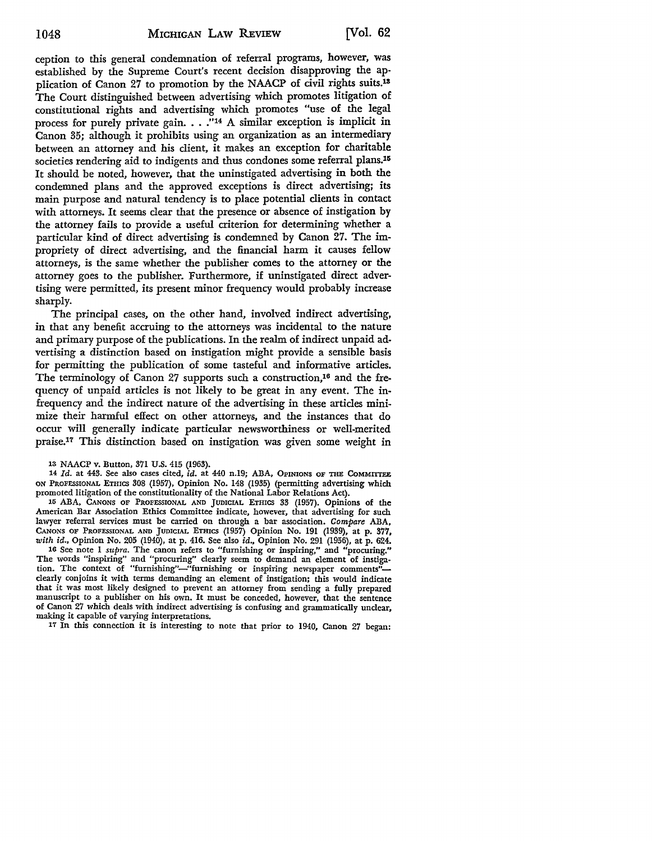ception to this general condemnation of referral programs, however, was established by the Supreme Court's recent decision disapproving the application of Canon 27 to promotion by the NAACP of civil rights suits.13 The Court distinguished between advertising which promotes litigation of constitutional rights and advertising which promotes "use of the legal process for purely private gain. . . ."14 A similar exception is implicit in Canon 35; although it prohibits using an organization as an intermediary between an attorney and his client, it makes an exception for charitable societies rendering aid to indigents and thus condones some referral plans.<sup>15</sup> It should be noted, however, that the uninstigated advertising in both the condemned plans and the approved exceptions is direct advertising; its main purpose and natural tendency is to place potential clients in contact with attorneys. It seems clear that the presence or absence of instigation by the attorney fails to provide a useful criterion for determining whether a particular kind of direct advertising is condemned by Canon 27. The impropriety of direct advertising, and the financial harm it causes fellow attorneys, is the same whether the publisher comes to the attorney or the attorney goes to the publisher. Furthermore, if uninstigated direct advertising were permitted, its present minor frequency would probably increase sharply.

The principal cases, on the other hand, involved indirect advertising, in that any benefit accruing to the attorneys was incidental to the nature and primary purpose of the publications. In the realm of indirect unpaid advertising a distinction based on instigation might provide a sensible basis for permitting the publication of some tasteful and informative articles. The terminology of Canon 27 supports such a construction,<sup>16</sup> and the frequency of unpaid articles is not likely to be great in any event. The infrequency and the indirect nature of the advertising in these articles minimize their harmful effect on other attorneys, and the instances that do occur will generally indicate particular newsworthiness or well-merited praise.17 This distinction based on instigation was given some weight in

13 NAACP v. Button, 371 U.S. 415 (1963).

14 *Id.* at 443. See also cases cited, *id.* at 440 n.19; ABA, OPINIONS OF THE CoMMITrEE ON PROFESSIONAL ETHICS 308 (1957), Opinion No. 148 (1935) (permitting advertising which promoted litigation of the constitutionality of the National Labor Relations Act).

15 ABA, CANONS OF PROFESSIONAL AND JUDICIAL ETHICS 33 (1957). Opinions of the American Bar Association Ethics Committee indicate, however, that advertising for such lawyer referral services must be carried on through a bar association. *Compare* ABA, CANONS OF PROFESSIONAL AND JUDICIAL ETHICS (1957) Opinion No. 191 (1939), at p. 377, with id., Opinion No. 205 (1940), at p. 416. See also id., Opinion No. 291 (1956), at p. 624.

16 See note 1 *supra.* The canon refers to "furnishing or inspiring," and "procuring." The words "inspiring" and "procuring" clearly seem to demand an element of instigation. The context of "furnishing"-"furnishing or inspiring newspaper comments"clearly conjoins it with terms demanding an element of instigation; this would indicate that it was most likely designed to prevent an attorney from sending a fully prepared manuscript to a publisher on his own. It must be conceded, however, that the sentence of Canon 27 which deals with indirect advertising is confusing and grammatically unclear, making it capable of varying interpretations.

17 In this connection it is interesting to note that prior to 1940, Canon 27 began: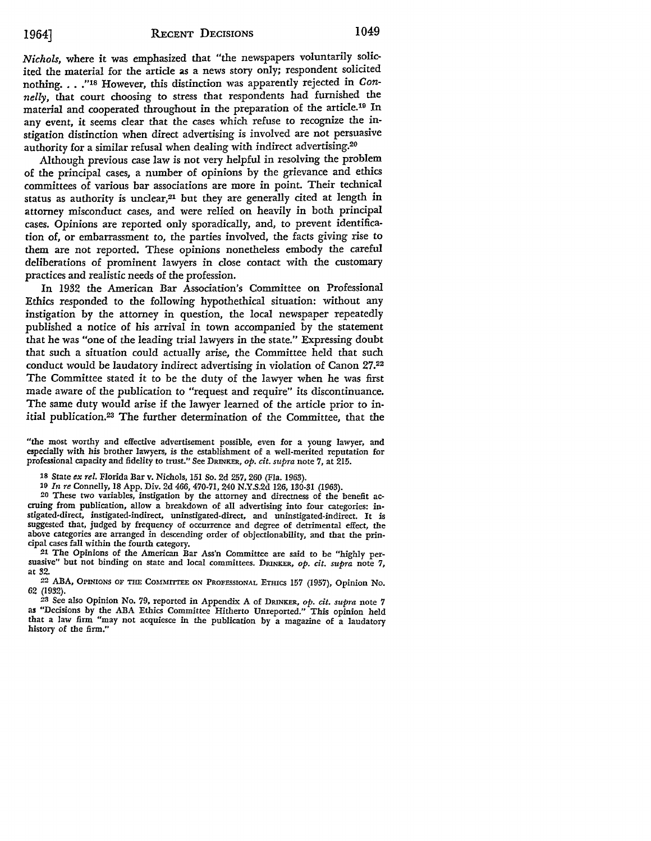*Nichols,* where it was emphasized that "the newspapers voluntarily solicited the material for the article as a news story only; respondent solicited nothing. . . ."18 However, this distinction was apparently rejected in Con*nelly,* that court choosing to stress that respondents had furnished the material and cooperated throughout in the preparation of the article.19 In any event, it seems clear that the cases which refuse to recognize the instigation distinction when direct advertising is involved are not persuasive authority for a similar refusal when dealing with indirect advertising.20

Although previous case law is not very helpful in resolving the problem of the principal cases, a number of opinions by the grievance and ethics committees of various bar associations are more in point. Their technical status as authority is unclear,<sup>21</sup> but they are generally cited at length in attorney misconduct cases, and were relied on heavily in both principal cases. Opinions are reported only sporadically, and, to prevent identification of, or embarrassment to, the parties involved, the facts giving rise to them are not reported. These opinions nonetheless embody the careful deliberations of prominent lawyers in close contact with the customary practices and realistic needs of the profession.

In 1932 the American Bar Association's Committee on Professional Ethics responded to the following hypothethical situation: without any instigation by the attorney in question, the local newspaper repeatedly published a notice of his arrival *in* town accompanied by the statement that he was "one of the leading trial lawyers in the state." Expressing doubt that such a situation could actually arise, the Committee held that such conduct would be laudatory indirect advertising in violation of Canon 27.22 The Committee stated it to be the duty of the lawyer when he was first made aware of the publication to "request and require" *its* discontinuance. The same duty would arise if the lawyer learned of the article prior to initial publication.23 The further determination of the Committee, that the

"the most worthy and effective advertisement possible, even for a young lawyer, and especially with his brother lawyers, is the establishment of a well-merited reputation for professional capacity and fidelity to trust." See DRINKER, *op. cit. supra* note 7, at 215.

20 These two variables, instigation by the attorney and directness of the benefit accruing from publication, allow a breakdown of all advertising into four categories: instigated-direct, instigated-indirect, uninstigated-direct, and uninstigated-indirect. It is suggested that, judged by frequency of occurrence and degree of detrimental effect, the above categories arc arranged in descending order of objectionability, and that the principal cases fall within the fourth category.

21 The Opinions of the American Bar Ass'n Committee are said to be "highly persuasive" but not binding on state and local committees. DRINKER, *op. cit. supra* note 7, at 32.

22 ABA, OPINIONS OF THE CoMMITIEE ON PROFESSIONAL ETHICS 157 (1957), Opinion No. 62 (1932).

23 See also Opinion No. 79, reported in Appendix *A* of DRINKER, *op. cit. supra* note *7*  **as** "Decisions by the ABA Ethics Committee Hitherto Unreported." This opinion held that a law firm "may not acquiesce in the publication by a magazine of a laudatory history of the firm."

<sup>18</sup> State *ex rel.* Florida Bar v. Nichols, 151 So. 2d 257, 260 (Fla. 1963).

<sup>19</sup> *In re* Connelly, 18 App. Div. 2d 466, 470-71, 240 N.Y .S.2d 126, 130-31 (1963).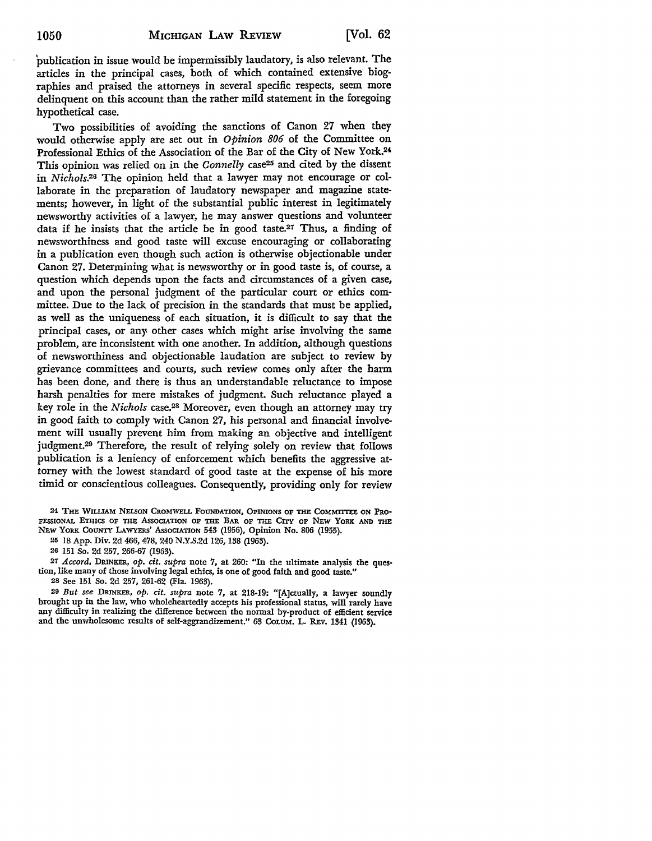publication in issue would be impermissibly laudatory, is also relevant. The articles in the principal cases, both of which contained extensive biographies and praised the attorneys in several specific respects, seem more delinquent on this account than the rather mild statement in the foregoing hypothetical case.

Two possibilities of avoiding the sanctions of Canon 27 when they would otherwise apply are set out in *Opinion 806* of the Committee on Professional Ethics of the Association of the Bar of the City of New York.24 This opinion was relied on in the *Connelly* case25 and cited by the dissent in *Nichols.26* The opinion held that a lawyer may not encourage or collaborate in the preparation of laudatory newspaper and magazine statements; however, in light of the substantial public interest in legitimately newsworthy activities of a lawyer, he may answer questions and volunteer data if he insists that the article be in good taste.<sup>27</sup> Thus, a finding of newsworthiness and good taste will excuse encouraging or collaborating in a publication even though such action is otherwise objectionable under Canon 27. Determining what is newsworthy or in good taste is, of course, a question which depends upon the facts and circumstances of a given case, and upon the personal judgment of the particular court or ethics committee. Due to the lack of precision in the standards that must be applied, as well as the uniqueness of each situation, it is difficult to say that the principal cases, or any other cases which might arise involving the same problem, are inconsistent with one another. In addition, although questions of newsworthiness and objectionable laudation are subject to review by grievance committees and courts, such review comes only after the harm has been done, and there is thus an understandable reluctance to impose harsh penalties for mere mistakes of judgment. Such reluctance played a key role in the *Nichols* case.28 Moreover, even though an attorney may try in good faith to comply with Canon 27, his personal and financial involvement will usually prevent him from making an objective and intelligent judgment.29 Therefore, the result of relying solely on review that follows publication is a leniency of enforcement which benefits the aggressive attorney with the lowest standard of good taste at the expense of his more timid or conscientious colleagues. Consequently, providing only for review

24 THE WILLIAM NELSON CROMWELL FOUNDATION, OPINIONS OF THE COMMITTEE ON PRO-FESSIONAL ETHICS OF THE AsSOCIATION OF THE BAR OF THE CITY OF NEW YORK. AND THE NEW YORK. COUNTY LAWYERS' AssoCIATION 543 (1956), Opinion No. 806 (1955).

25 18 App. Div. 2d 466, 478, 240 N.Y.S.2d 126, 138 (1963).

26 151 So. 2d 257, 266-67 (1963).

27 *Accord,* DRINKER, *op. cit. supra* note 7, at 260: "In the ultimate analysis the question, like many of those involving legal ethics, is one of good faith and good taste."

28 See 151 So. 2d 257, 261-62 (Fla. 1963).

29 *But see* DRINKER, *op. dt. supra* note 7, at 218-19: "[A]ctually, a lawyer soundly brought up in the law, who wholeheartedly accepts his professional status, will rarely have any difficulty in realizing the difference between the normal by-product of efficient service and the unwholesome results of self-aggrandizement." 63 CoLUM. L. REv. 1341 (1963).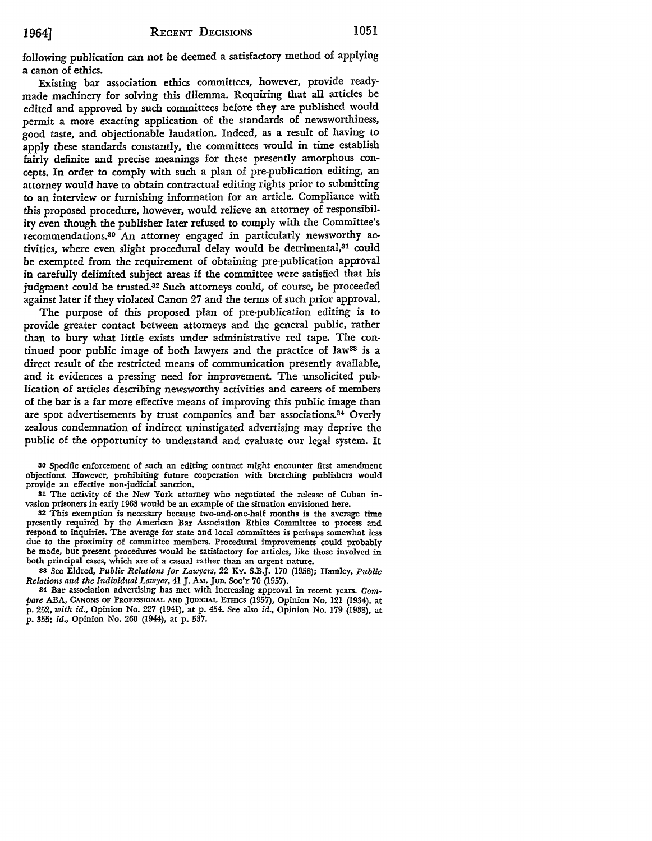following publication can not be deemed a satisfactory method of applying a canon of ethics.

Existing bar association ethics committees, however, provide readymade machinery for solving this dilemma. Requiring that all articles be edited and approved by such committees before they are published would permit a more exacting application of the standards of newsworthiness, good taste, and objectionable laudation. Indeed, as a result of having to apply these standards constantly, the committees would in time establish fairly definite and precise meanings for these presently amorphous concepts. In order to comply with such a plan of pre-publication editing, an attorney would have to obtain contractual editing rights prior to submitting to an interview or furnishing information for an article. Compliance with this proposed procedure, however, would relieve an attorney of responsibility even though the publisher later refused to comply with the Committee's recommendations.30 An attorney engaged in particularly newsworthy activities, where even slight procedural delay would be detrimental,<sup>31</sup> could be exempted from the requirement of obtaining pre-publication approval in carefully delimited subject areas if the committee were satisfied that his judgment could be trusted.32 Such attorneys could, of *course,* be proceeded against later if they violated Canon 27 and the terms of such prior approval.

The purpose of this proposed plan of pre-publication editing is to provide greater contact between attorneys and the general public, rather than to bury what little exists under administrative red tape. The continued poor public image of both lawyers and the practice of law<sup>33</sup> is a direct result of the restricted means of communication presently available, and it evidences a pressing need for improvement. The unsolicited publication of articles describing newsworthy activities and careers of members of the bar is a far more effective means of improving this public image than are spot advertisements by trust companies and bar associations.34 Overly zealous condemnation of indirect uninstigated advertising may deprive the public of the opportunity to understand and evaluate our legal system. It

30 Specific enforcement of such an editing contract might encounter first amendment objections. However, prohibiting future cooperation with breaching publishers would provide an effective non-judicial sanction.

31 The activity of the New York attorney who negotiated the release of Cuban invasion prisoners in early 1963 would be an example of the situation envisioned here.

32 This exemption is necessary because two-and-one-half months is the average time presently required by the American Bar Association Ethics Committee to process and respond to inquiries. The average for state and local committees is perhaps somewhat less due to the proximity of committee members. Procedural improvements could probably be made, but present procedures would be satisfactory for articles, like those involved in both principal cases, which are of a casual rather than an urgent nature.

33 See Eldred, *Public Relations for Lawyers,* 22 Ky, S.B.J. 170 (1958); Hamley, *Public Relations and the Individual Lawyer,* 41 J. AM. Jun. Soc'Y 70 (1957).

84 Bar association advertising has met with increasing approval in recent years. Com*pare* ABA, CANONS OF PROFESSIONAL AND JUDICIAL ETHICS (1957), Opinion No. 121 (1934), at p. 252, *with id.,* Opinion No. 227 (1941), at p. 454. See also *id.,* Opinion No. 179 (1938), at p. 355; *id.,* Opinion No. 260 (1944), at p. 537.